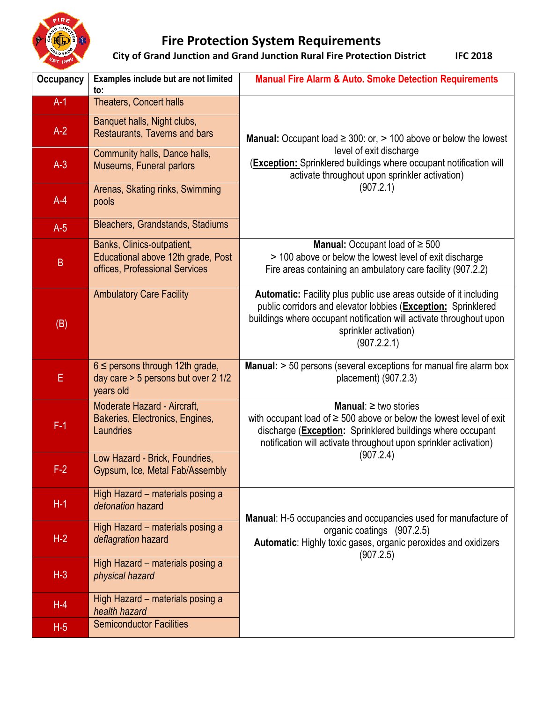

## **Fire Protection System Requirements**

**City of Grand Junction and Grand Junction Rural Fire Protection District IFC 2018** 

| <b>Occupancy</b> | Examples include but are not limited<br>to:                                                        | <b>Manual Fire Alarm &amp; Auto. Smoke Detection Requirements</b>                                                                                                                                                                                            |
|------------------|----------------------------------------------------------------------------------------------------|--------------------------------------------------------------------------------------------------------------------------------------------------------------------------------------------------------------------------------------------------------------|
| $A-1$            | <b>Theaters, Concert halls</b>                                                                     |                                                                                                                                                                                                                                                              |
| $A-2$            | Banquet halls, Night clubs,<br>Restaurants, Taverns and bars                                       | <b>Manual:</b> Occupant load $\geq$ 300: or, $>$ 100 above or below the lowest                                                                                                                                                                               |
| $A-3$            | Community halls, Dance halls,<br>Museums, Funeral parlors                                          | level of exit discharge<br>(Exception: Sprinklered buildings where occupant notification will<br>activate throughout upon sprinkler activation)                                                                                                              |
| $A-4$            | Arenas, Skating rinks, Swimming<br>pools                                                           | (907.2.1)                                                                                                                                                                                                                                                    |
| $A-5$            | Bleachers, Grandstands, Stadiums                                                                   |                                                                                                                                                                                                                                                              |
| $\sf B$          | Banks, Clinics-outpatient,<br>Educational above 12th grade, Post<br>offices, Professional Services | <b>Manual:</b> Occupant load of $\geq 500$<br>> 100 above or below the lowest level of exit discharge<br>Fire areas containing an ambulatory care facility (907.2.2)                                                                                         |
| (B)              | <b>Ambulatory Care Facility</b>                                                                    | Automatic: Facility plus public use areas outside of it including<br>public corridors and elevator lobbies (Exception: Sprinklered<br>buildings where occupant notification will activate throughout upon<br>sprinkler activation)<br>(907.2.2.1)            |
| E                | $6 \leq$ persons through 12th grade,<br>day care $>$ 5 persons but over 2 1/2<br>years old         | Manual: > 50 persons (several exceptions for manual fire alarm box<br>placement) (907.2.3)                                                                                                                                                                   |
| $F-1$            | Moderate Hazard - Aircraft,<br>Bakeries, Electronics, Engines,<br>Laundries                        | <b>Manual:</b> $\geq$ two stories<br>with occupant load of $\geq 500$ above or below the lowest level of exit<br>discharge (Exception: Sprinklered buildings where occupant<br>notification will activate throughout upon sprinkler activation)<br>(907.2.4) |
| $F-2$            | Low Hazard - Brick, Foundries,<br>Gypsum, Ice, Metal Fab/Assembly                                  |                                                                                                                                                                                                                                                              |
| $H-1$            | High Hazard - materials posing a<br>detonation hazard                                              | Manual: H-5 occupancies and occupancies used for manufacture of                                                                                                                                                                                              |
| $H-2$            | High Hazard - materials posing a<br>deflagration hazard                                            | organic coatings (907.2.5)<br>Automatic: Highly toxic gases, organic peroxides and oxidizers<br>(907.2.5)                                                                                                                                                    |
| $H-3$            | High Hazard - materials posing a<br>physical hazard                                                |                                                                                                                                                                                                                                                              |
| $H-4$            | High Hazard - materials posing a<br>health hazard                                                  |                                                                                                                                                                                                                                                              |
| $H-5$            | <b>Semiconductor Facilities</b>                                                                    |                                                                                                                                                                                                                                                              |